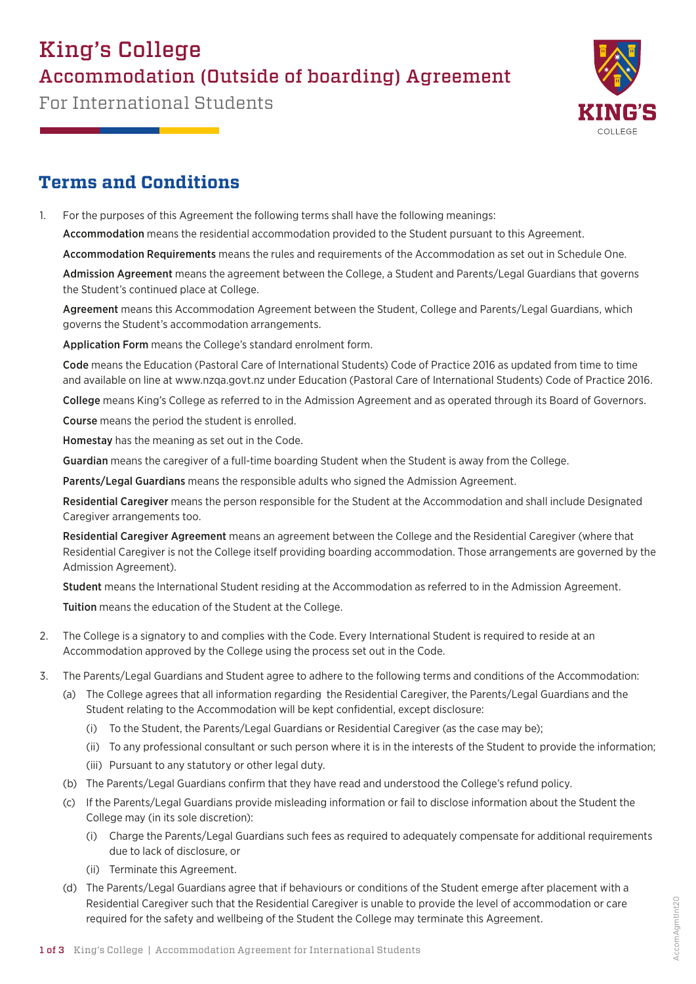# King's College Accommodation (Outside of boarding) Agreement

For International Students



### **Terms and Conditions**

1. For the purposes of this Agreement the following terms shall have the following meanings:

Accommodation means the residential accommodation provided to the Student pursuant to this Agreement.

Accommodation Requirements means the rules and requirements of the Accommodation as set out in Schedule One.

Admission Agreement means the agreement between the College, a Student and Parents/Legal Guardians that governs the Student's continued place at College.

Agreement means this Accommodation Agreement between the Student, College and Parents/Legal Guardians, which governs the Student's accommodation arrangements.

Application Form means the College's standard enrolment form.

Code means the Education (Pastoral Care of International Students) Code of Practice 2016 as updated from time to time and available on line at www.nzqa.govt.nz under Education (Pastoral Care of International Students) Code of Practice 2016.

College means King's College as referred to in the Admission Agreement and as operated through its Board of Governors.

Course means the period the student is enrolled.

Homestay has the meaning as set out in the Code.

Guardian means the caregiver of a full-time boarding Student when the Student is away from the College.

Parents/Legal Guardians means the responsible adults who signed the Admission Agreement.

Residential Caregiver means the person responsible for the Student at the Accommodation and shall include Designated Caregiver arrangements too.

Residential Caregiver Agreement means an agreement between the College and the Residential Caregiver (where that Residential Caregiver is not the College itself providing boarding accommodation. Those arrangements are governed by the Admission Agreement).

Student means the International Student residing at the Accommodation as referred to in the Admission Agreement.

Tuition means the education of the Student at the College.

- 2. The College is a signatory to and complies with the Code. Every International Student is required to reside at an Accommodation approved by the College using the process set out in the Code.
- 3. The Parents/Legal Guardians and Student agree to adhere to the following terms and conditions of the Accommodation:
	- (a) The College agrees that all information regarding the Residential Caregiver, the Parents/Legal Guardians and the Student relating to the Accommodation will be kept confidential, except disclosure:
		- (i) To the Student, the Parents/Legal Guardians or Residential Caregiver (as the case may be);
		- (ii) To any professional consultant or such person where it is in the interests of the Student to provide the information;
		- (iii) Pursuant to any statutory or other legal duty.
	- (b) The Parents/Legal Guardians confirm that they have read and understood the College's refund policy.
	- (c) If the Parents/Legal Guardians provide misleading information or fail to disclose information about the Student the College may (in its sole discretion):
		- (i) Charge the Parents/Legal Guardians such fees as required to adequately compensate for additional requirements due to lack of disclosure, or
		- (ii) Terminate this Agreement.
	- (d) The Parents/Legal Guardians agree that if behaviours or conditions of the Student emerge after placement with a Residential Caregiver such that the Residential Caregiver is unable to provide the level of accommodation or care required for the safety and wellbeing of the Student the College may terminate this Agreement.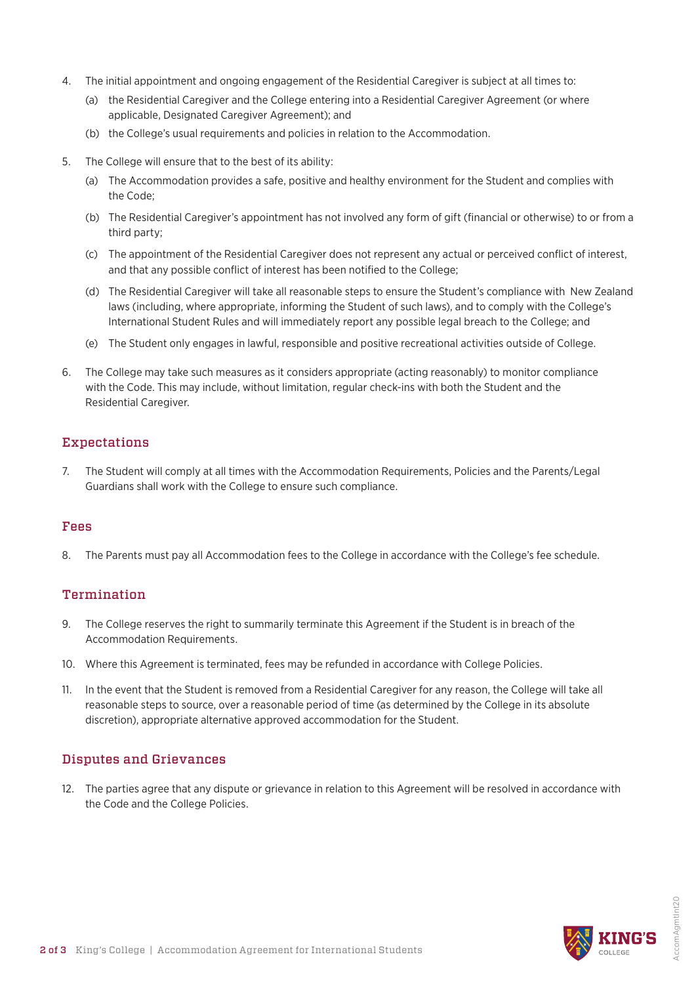- 4. The initial appointment and ongoing engagement of the Residential Caregiver is subject at all times to:
	- (a) the Residential Caregiver and the College entering into a Residential Caregiver Agreement (or where applicable, Designated Caregiver Agreement); and
	- (b) the College's usual requirements and policies in relation to the Accommodation.
- 5. The College will ensure that to the best of its ability:
	- (a) The Accommodation provides a safe, positive and healthy environment for the Student and complies with the Code;
	- (b) The Residential Caregiver's appointment has not involved any form of gift (financial or otherwise) to or from a third party;
	- (c) The appointment of the Residential Caregiver does not represent any actual or perceived conflict of interest, and that any possible conflict of interest has been notified to the College;
	- (d) The Residential Caregiver will take all reasonable steps to ensure the Student's compliance with New Zealand laws (including, where appropriate, informing the Student of such laws), and to comply with the College's International Student Rules and will immediately report any possible legal breach to the College; and
	- (e) The Student only engages in lawful, responsible and positive recreational activities outside of College.
- 6. The College may take such measures as it considers appropriate (acting reasonably) to monitor compliance with the Code. This may include, without limitation, regular check-ins with both the Student and the Residential Caregiver.

#### Expectations

7. The Student will comply at all times with the Accommodation Requirements, Policies and the Parents/Legal Guardians shall work with the College to ensure such compliance.

#### Fees

8. The Parents must pay all Accommodation fees to the College in accordance with the College's fee schedule.

#### **Termination**

- 9. The College reserves the right to summarily terminate this Agreement if the Student is in breach of the Accommodation Requirements.
- 10. Where this Agreement is terminated, fees may be refunded in accordance with College Policies.
- 11. In the event that the Student is removed from a Residential Caregiver for any reason, the College will take all reasonable steps to source, over a reasonable period of time (as determined by the College in its absolute discretion), appropriate alternative approved accommodation for the Student.

#### Disputes and Grievances

12. The parties agree that any dispute or grievance in relation to this Agreement will be resolved in accordance with the Code and the College Policies.